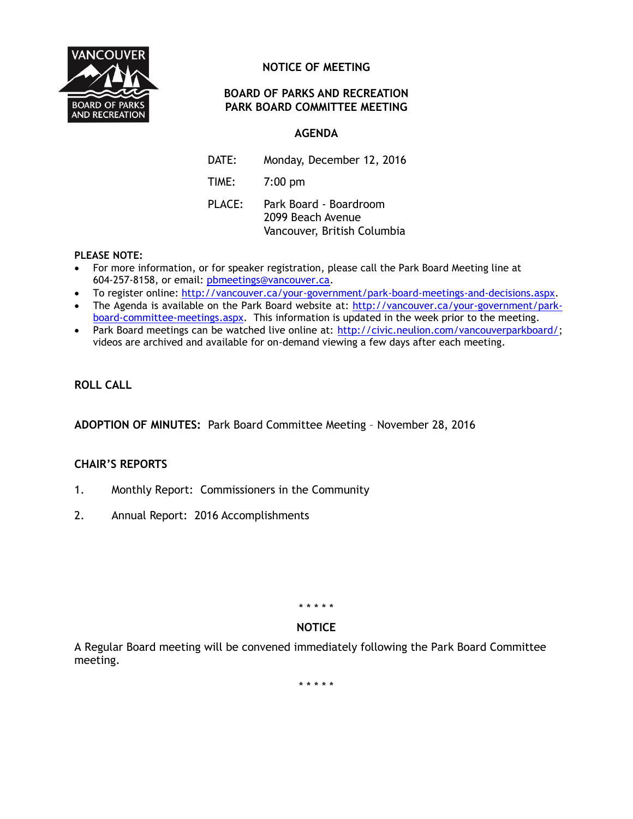

# **NOTICE OF MEETING**

# **BOARD OF PARKS AND RECREATION PARK BOARD COMMITTEE MEETING**

# **AGENDA**

DATE: Monday, December 12, 2016

TIME: 7:00 pm

PLACE: Park Board - Boardroom 2099 Beach Avenue Vancouver, British Columbia

### **PLEASE NOTE:**

- For more information, or for speaker registration, please call the Park Board Meeting line at 604-257-8158, or email: [pbmeetings@vancouver.ca.](mailto:pbmeetings@vancouver.ca)
- To register online: [http://vancouver.ca/your-government/park-board-meetings-and-decisions.aspx.](http://vancouver.ca/your-government/park-board-meetings-and-decisions.aspx)
- The Agenda is available on the Park Board website at: [http://vancouver.ca/your-government/park](http://vancouver.ca/your-government/park-board-committee-meetings.aspx)[board-committee-meetings.aspx.](http://vancouver.ca/your-government/park-board-committee-meetings.aspx) This information is updated in the week prior to the meeting.
- Park Board meetings can be watched live online at: [http://civic.neulion.com/vancouverparkboard/;](http://civic.neulion.com/vancouverparkboard/) videos are archived and available for on-demand viewing a few days after each meeting.

# **ROLL CALL**

**ADOPTION OF MINUTES:** Park Board Committee Meeting – November 28, 2016

### **CHAIR'S REPORTS**

- 1. Monthly Report: Commissioners in the Community
- 2. Annual Report: 2016 Accomplishments

\* \* \* \* \*

# **NOTICE**

A Regular Board meeting will be convened immediately following the Park Board Committee meeting.

\* \* \* \* \*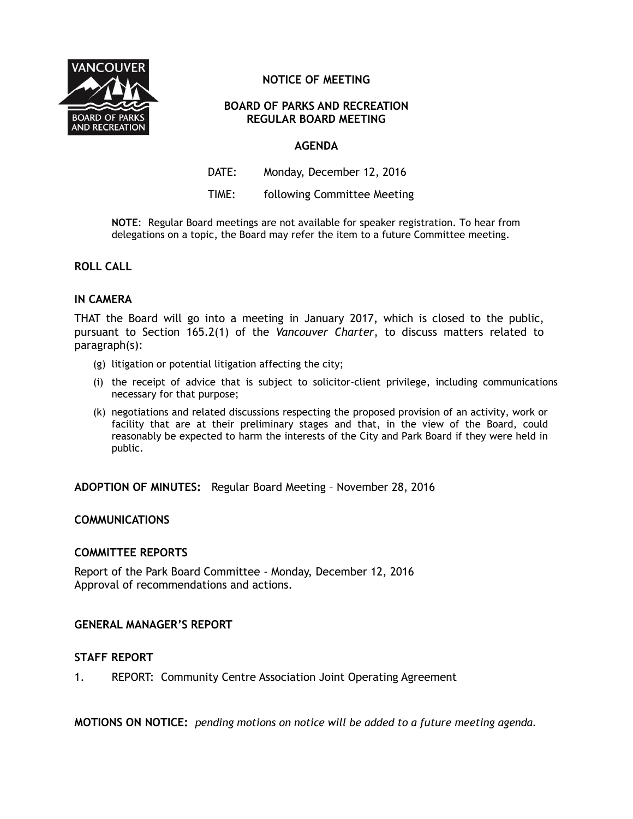

# **NOTICE OF MEETING**

### **BOARD OF PARKS AND RECREATION REGULAR BOARD MEETING**

### **AGENDA**

DATE: Monday, December 12, 2016

TIME: following Committee Meeting

**NOTE**:Regular Board meetings are not available for speaker registration. To hear from delegations on a topic, the Board may refer the item to a future Committee meeting.

### **ROLL CALL**

### **IN CAMERA**

THAT the Board will go into a meeting in January 2017, which is closed to the public, pursuant to Section 165.2(1) of the *Vancouver Charter*, to discuss matters related to paragraph(s):

- (g) litigation or potential litigation affecting the city;
- (i) the receipt of advice that is subject to solicitor-client privilege, including communications necessary for that purpose;
- (k) negotiations and related discussions respecting the proposed provision of an activity, work or facility that are at their preliminary stages and that, in the view of the Board, could reasonably be expected to harm the interests of the City and Park Board if they were held in public.

**ADOPTION OF MINUTES:** Regular Board Meeting – November 28, 2016

### **COMMUNICATIONS**

#### **COMMITTEE REPORTS**

Report of the Park Board Committee - Monday, December 12, 2016 Approval of recommendations and actions.

### **GENERAL MANAGER'S REPORT**

#### **STAFF REPORT**

1. REPORT: Community Centre Association Joint Operating Agreement

**MOTIONS ON NOTICE:** *pending motions on notice will be added to a future meeting agenda.*